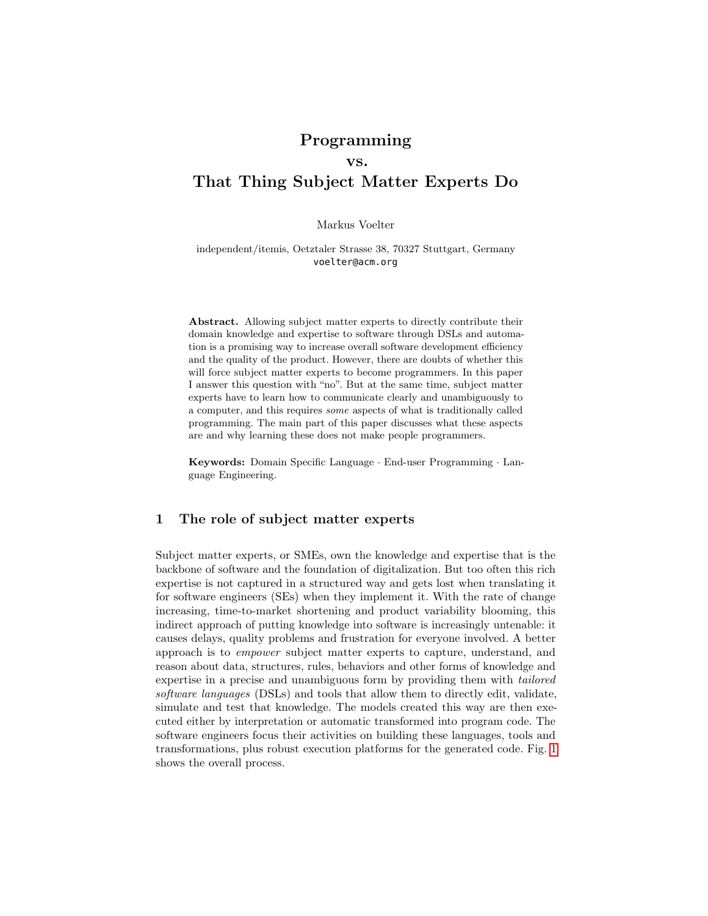# <span id="page-0-0"></span>Programming vs. That Thing Subject Matter Experts Do

Markus Voelter

independent/itemis, Oetztaler Strasse 38, 70327 Stuttgart, Germany voelter@acm.org

Abstract. Allowing subject matter experts to directly contribute their domain knowledge and expertise to software through DSLs and automation is a promising way to increase overall software development efficiency and the quality of the product. However, there are doubts of whether this will force subject matter experts to become programmers. In this paper I answer this question with "no". But at the same time, subject matter experts have to learn how to communicate clearly and unambiguously to a computer, and this requires some aspects of what is traditionally called programming. The main part of this paper discusses what these aspects are and why learning these does not make people programmers.

Keywords: Domain Specific Language · End-user Programming · Language Engineering.

## 1 The role of subject matter experts

Subject matter experts, or SMEs, own the knowledge and expertise that is the backbone of software and the foundation of digitalization. But too often this rich expertise is not captured in a structured way and gets lost when translating it for software engineers (SEs) when they implement it. With the rate of change increasing, time-to-market shortening and product variability blooming, this indirect approach of putting knowledge into software is increasingly untenable: it causes delays, quality problems and frustration for everyone involved. A better approach is to empower subject matter experts to capture, understand, and reason about data, structures, rules, behaviors and other forms of knowledge and expertise in a precise and unambiguous form by providing them with tailored software languages (DSLs) and tools that allow them to directly edit, validate, simulate and test that knowledge. The models created this way are then executed either by interpretation or automatic transformed into program code. The software engineers focus their activities on building these languages, tools and transformations, plus robust execution platforms for the generated code. Fig. [1](#page-1-0) shows the overall process.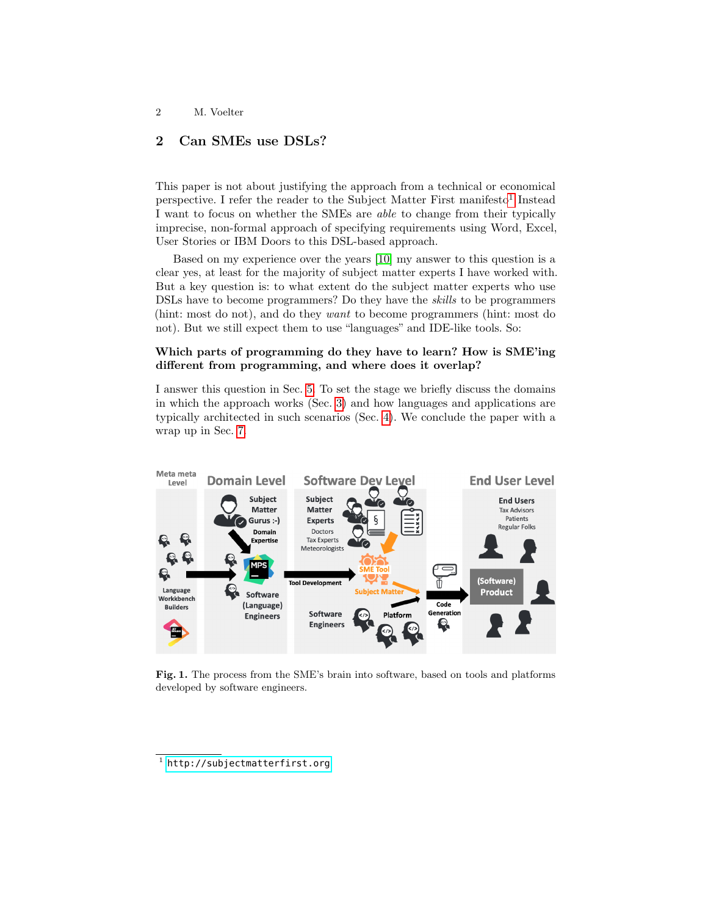# 2 Can SMEs use DSLs?

This paper is not about justifying the approach from a technical or economical perspective. I refer the reader to the Subject Matter First manifesto<sup>[1](#page-0-0)</sup> Instead I want to focus on whether the SMEs are able to change from their typically imprecise, non-formal approach of specifying requirements using Word, Excel, User Stories or IBM Doors to this DSL-based approach.

Based on my experience over the years [\[10\]](#page-11-0) my answer to this question is a clear yes, at least for the majority of subject matter experts I have worked with. But a key question is: to what extent do the subject matter experts who use DSLs have to become programmers? Do they have the skills to be programmers (hint: most do not), and do they want to become programmers (hint: most do not). But we still expect them to use "languages" and IDE-like tools. So:

# Which parts of programming do they have to learn? How is SME'ing different from programming, and where does it overlap?

I answer this question in Sec. [5.](#page-3-0) To set the stage we briefly discuss the domains in which the approach works (Sec. [3\)](#page-2-0) and how languages and applications are typically architected in such scenarios (Sec. [4\)](#page-2-1). We conclude the paper with a wrap up in Sec. [7.](#page-10-0)



<span id="page-1-0"></span>Fig. 1. The process from the SME's brain into software, based on tools and platforms developed by software engineers.

 $^1$  <http://subjectmatterfirst.org>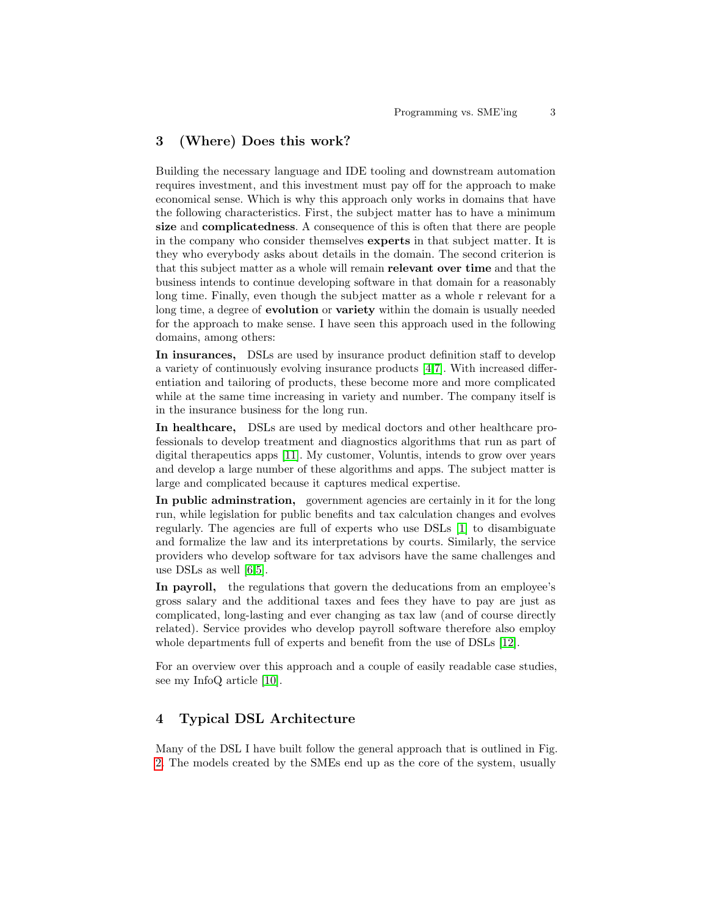## <span id="page-2-0"></span>3 (Where) Does this work?

Building the necessary language and IDE tooling and downstream automation requires investment, and this investment must pay off for the approach to make economical sense. Which is why this approach only works in domains that have the following characteristics. First, the subject matter has to have a minimum size and complicatedness. A consequence of this is often that there are people in the company who consider themselves experts in that subject matter. It is they who everybody asks about details in the domain. The second criterion is that this subject matter as a whole will remain relevant over time and that the business intends to continue developing software in that domain for a reasonably long time. Finally, even though the subject matter as a whole r relevant for a long time, a degree of **evolution** or **variety** within the domain is usually needed for the approach to make sense. I have seen this approach used in the following domains, among others:

In insurances, DSLs are used by insurance product definition staff to develop a variety of continuously evolving insurance products [\[4,](#page-11-1)[7\]](#page-11-2). With increased differentiation and tailoring of products, these become more and more complicated while at the same time increasing in variety and number. The company itself is in the insurance business for the long run.

In healthcare, DSLs are used by medical doctors and other healthcare professionals to develop treatment and diagnostics algorithms that run as part of digital therapeutics apps [\[11\]](#page-11-3). My customer, Voluntis, intends to grow over years and develop a large number of these algorithms and apps. The subject matter is large and complicated because it captures medical expertise.

In public adminstration, government agencies are certainly in it for the long run, while legislation for public benefits and tax calculation changes and evolves regularly. The agencies are full of experts who use DSLs [\[1\]](#page-11-4) to disambiguate and formalize the law and its interpretations by courts. Similarly, the service providers who develop software for tax advisors have the same challenges and use DSLs as well [\[6](#page-11-5)[,5\]](#page-11-6).

In payroll, the regulations that govern the deducations from an employee's gross salary and the additional taxes and fees they have to pay are just as complicated, long-lasting and ever changing as tax law (and of course directly related). Service provides who develop payroll software therefore also employ whole departments full of experts and benefit from the use of DSLs [\[12\]](#page-11-7).

For an overview over this approach and a couple of easily readable case studies, see my InfoQ article [\[10\]](#page-11-0).

# <span id="page-2-1"></span>4 Typical DSL Architecture

Many of the DSL I have built follow the general approach that is outlined in Fig. [2.](#page-3-1) The models created by the SMEs end up as the core of the system, usually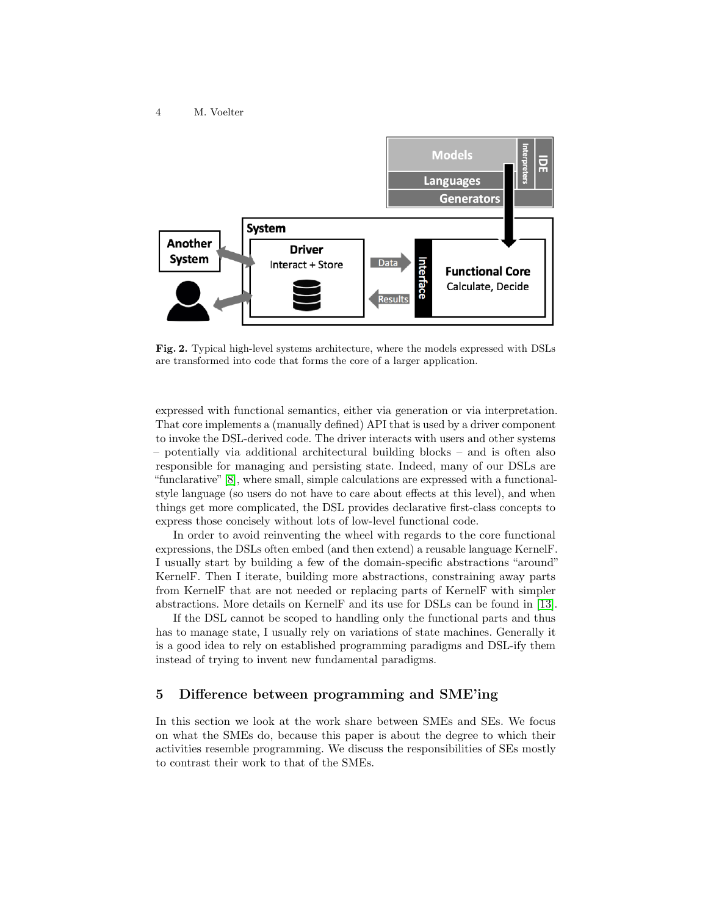

<span id="page-3-1"></span>Fig. 2. Typical high-level systems architecture, where the models expressed with DSLs are transformed into code that forms the core of a larger application.

expressed with functional semantics, either via generation or via interpretation. That core implements a (manually defined) API that is used by a driver component to invoke the DSL-derived code. The driver interacts with users and other systems – potentially via additional architectural building blocks – and is often also responsible for managing and persisting state. Indeed, many of our DSLs are "funclarative" [\[8\]](#page-11-8), where small, simple calculations are expressed with a functionalstyle language (so users do not have to care about effects at this level), and when things get more complicated, the DSL provides declarative first-class concepts to express those concisely without lots of low-level functional code.

In order to avoid reinventing the wheel with regards to the core functional expressions, the DSLs often embed (and then extend) a reusable language KernelF. I usually start by building a few of the domain-specific abstractions "around" KernelF. Then I iterate, building more abstractions, constraining away parts from KernelF that are not needed or replacing parts of KernelF with simpler abstractions. More details on KernelF and its use for DSLs can be found in [\[13\]](#page-11-9).

If the DSL cannot be scoped to handling only the functional parts and thus has to manage state, I usually rely on variations of state machines. Generally it is a good idea to rely on established programming paradigms and DSL-ify them instead of trying to invent new fundamental paradigms.

# <span id="page-3-0"></span>5 Difference between programming and SME'ing

In this section we look at the work share between SMEs and SEs. We focus on what the SMEs do, because this paper is about the degree to which their activities resemble programming. We discuss the responsibilities of SEs mostly to contrast their work to that of the SMEs.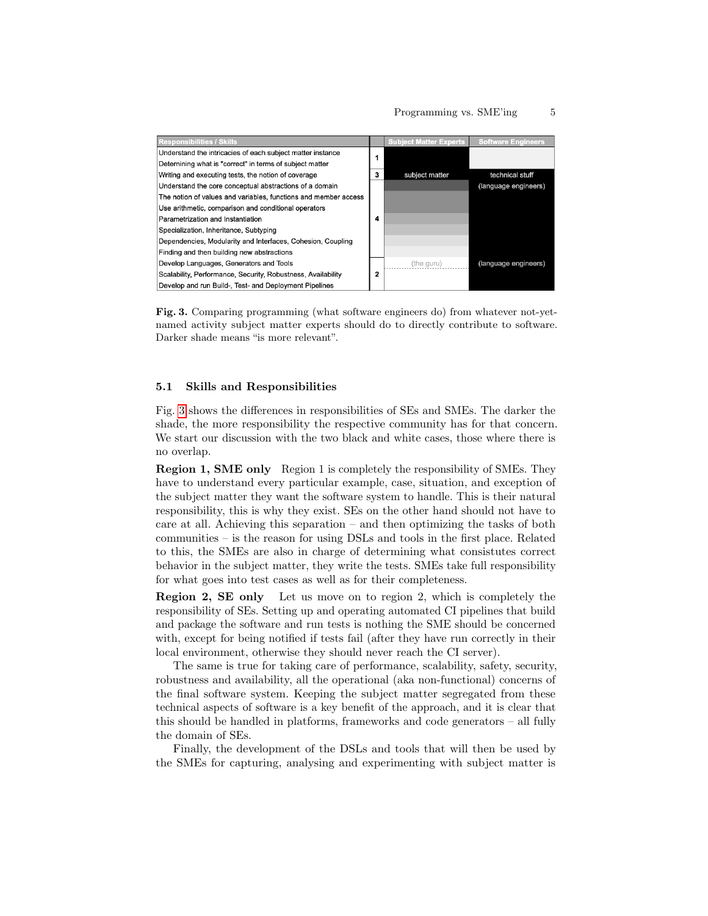

<span id="page-4-0"></span>Fig. 3. Comparing programming (what software engineers do) from whatever not-yetnamed activity subject matter experts should do to directly contribute to software. Darker shade means "is more relevant".

#### 5.1 Skills and Responsibilities

Fig. [3](#page-4-0) shows the differences in responsibilities of SEs and SMEs. The darker the shade, the more responsibility the respective community has for that concern. We start our discussion with the two black and white cases, those where there is no overlap.

Region 1, SME only Region 1 is completely the responsibility of SMEs. They have to understand every particular example, case, situation, and exception of the subject matter they want the software system to handle. This is their natural responsibility, this is why they exist. SEs on the other hand should not have to care at all. Achieving this separation – and then optimizing the tasks of both communities – is the reason for using DSLs and tools in the first place. Related to this, the SMEs are also in charge of determining what consistutes correct behavior in the subject matter, they write the tests. SMEs take full responsibility for what goes into test cases as well as for their completeness.

Region 2, SE only Let us move on to region 2, which is completely the responsibility of SEs. Setting up and operating automated CI pipelines that build and package the software and run tests is nothing the SME should be concerned with, except for being notified if tests fail (after they have run correctly in their local environment, otherwise they should never reach the CI server).

The same is true for taking care of performance, scalability, safety, security, robustness and availability, all the operational (aka non-functional) concerns of the final software system. Keeping the subject matter segregated from these technical aspects of software is a key benefit of the approach, and it is clear that this should be handled in platforms, frameworks and code generators – all fully the domain of SEs.

Finally, the development of the DSLs and tools that will then be used by the SMEs for capturing, analysing and experimenting with subject matter is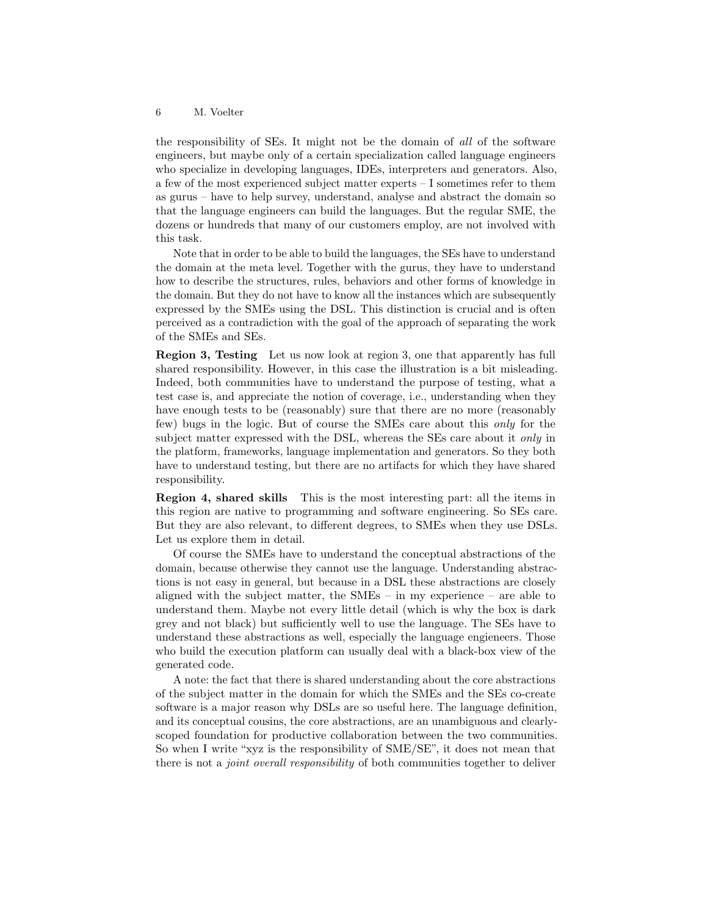the responsibility of SEs. It might not be the domain of all of the software engineers, but maybe only of a certain specialization called language engineers who specialize in developing languages, IDEs, interpreters and generators. Also, a few of the most experienced subject matter experts – I sometimes refer to them as gurus – have to help survey, understand, analyse and abstract the domain so that the language engineers can build the languages. But the regular SME, the dozens or hundreds that many of our customers employ, are not involved with this task.

Note that in order to be able to build the languages, the SEs have to understand the domain at the meta level. Together with the gurus, they have to understand how to describe the structures, rules, behaviors and other forms of knowledge in the domain. But they do not have to know all the instances which are subsequently expressed by the SMEs using the DSL. This distinction is crucial and is often perceived as a contradiction with the goal of the approach of separating the work of the SMEs and SEs.

Region 3, Testing Let us now look at region 3, one that apparently has full shared responsibility. However, in this case the illustration is a bit misleading. Indeed, both communities have to understand the purpose of testing, what a test case is, and appreciate the notion of coverage, i.e., understanding when they have enough tests to be (reasonably) sure that there are no more (reasonably few) bugs in the logic. But of course the SMEs care about this only for the subject matter expressed with the DSL, whereas the SEs care about it *only* in the platform, frameworks, language implementation and generators. So they both have to understand testing, but there are no artifacts for which they have shared responsibility.

Region 4, shared skills This is the most interesting part: all the items in this region are native to programming and software engineering. So SEs care. But they are also relevant, to different degrees, to SMEs when they use DSLs. Let us explore them in detail.

Of course the SMEs have to understand the conceptual abstractions of the domain, because otherwise they cannot use the language. Understanding abstractions is not easy in general, but because in a DSL these abstractions are closely aligned with the subject matter, the  $\text{SMEs}$  – in my experience – are able to understand them. Maybe not every little detail (which is why the box is dark grey and not black) but sufficiently well to use the language. The SEs have to understand these abstractions as well, especially the language engieneers. Those who build the execution platform can usually deal with a black-box view of the generated code.

A note: the fact that there is shared understanding about the core abstractions of the subject matter in the domain for which the SMEs and the SEs co-create software is a major reason why DSLs are so useful here. The language definition, and its conceptual cousins, the core abstractions, are an unambiguous and clearlyscoped foundation for productive collaboration between the two communities. So when I write "xyz is the responsibility of SME/SE", it does not mean that there is not a joint overall responsibility of both communities together to deliver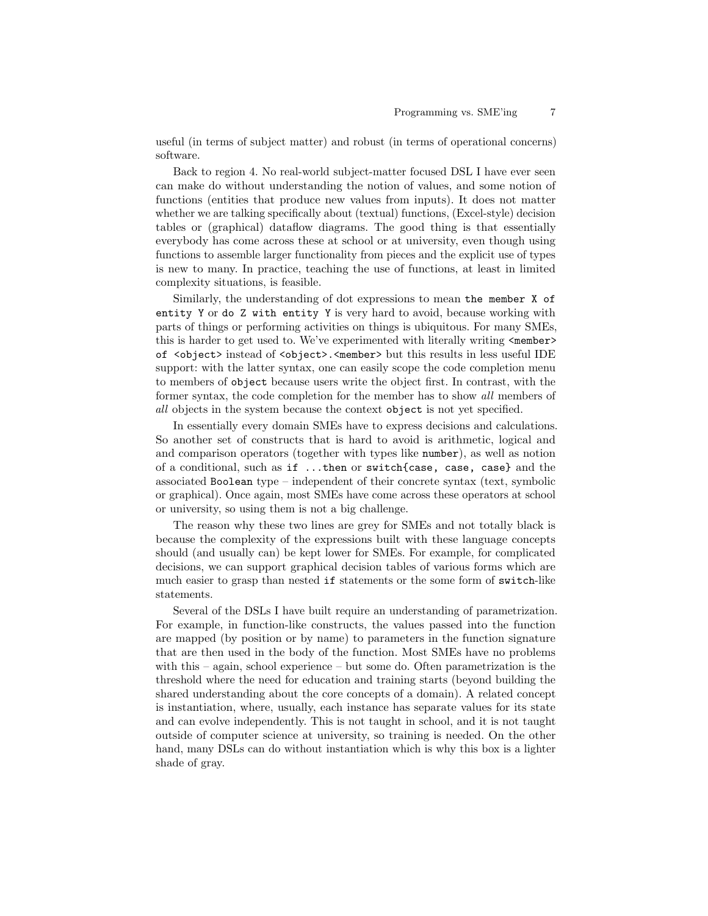useful (in terms of subject matter) and robust (in terms of operational concerns) software.

Back to region 4. No real-world subject-matter focused DSL I have ever seen can make do without understanding the notion of values, and some notion of functions (entities that produce new values from inputs). It does not matter whether we are talking specifically about (textual) functions, (Excel-style) decision tables or (graphical) dataflow diagrams. The good thing is that essentially everybody has come across these at school or at university, even though using functions to assemble larger functionality from pieces and the explicit use of types is new to many. In practice, teaching the use of functions, at least in limited complexity situations, is feasible.

Similarly, the understanding of dot expressions to mean the member X of entity Y or do Z with entity Y is very hard to avoid, because working with parts of things or performing activities on things is ubiquitous. For many SMEs, this is harder to get used to. We've experimented with literally writing  $\leq m$ ember> of <object> instead of <object>.<member> but this results in less useful IDE support: with the latter syntax, one can easily scope the code completion menu to members of object because users write the object first. In contrast, with the former syntax, the code completion for the member has to show all members of all objects in the system because the context object is not yet specified.

In essentially every domain SMEs have to express decisions and calculations. So another set of constructs that is hard to avoid is arithmetic, logical and and comparison operators (together with types like number), as well as notion of a conditional, such as if ...then or switch{case, case, case} and the associated Boolean type – independent of their concrete syntax (text, symbolic or graphical). Once again, most SMEs have come across these operators at school or university, so using them is not a big challenge.

The reason why these two lines are grey for SMEs and not totally black is because the complexity of the expressions built with these language concepts should (and usually can) be kept lower for SMEs. For example, for complicated decisions, we can support graphical decision tables of various forms which are much easier to grasp than nested if statements or the some form of switch-like statements.

Several of the DSLs I have built require an understanding of parametrization. For example, in function-like constructs, the values passed into the function are mapped (by position or by name) to parameters in the function signature that are then used in the body of the function. Most SMEs have no problems with this – again, school experience – but some do. Often parametrization is the threshold where the need for education and training starts (beyond building the shared understanding about the core concepts of a domain). A related concept is instantiation, where, usually, each instance has separate values for its state and can evolve independently. This is not taught in school, and it is not taught outside of computer science at university, so training is needed. On the other hand, many DSLs can do without instantiation which is why this box is a lighter shade of gray.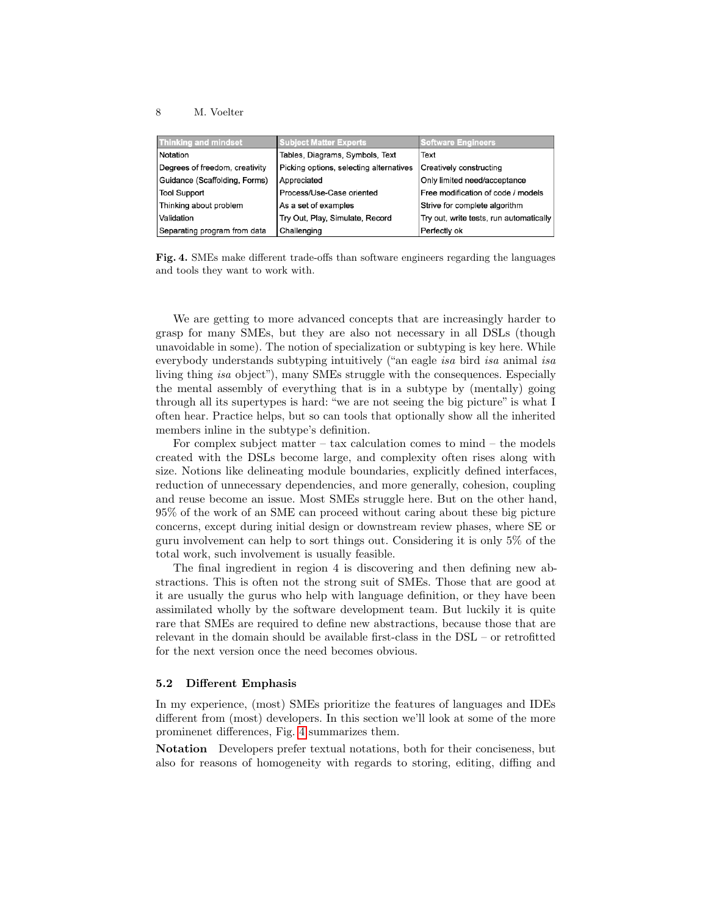| Thinking and mindset           | <b>Subject Matter Experts</b>           | <b>Software Engineers</b>               |
|--------------------------------|-----------------------------------------|-----------------------------------------|
| Notation                       | Tables, Diagrams, Symbols, Text         | Text                                    |
| Degrees of freedom, creativity | Picking options, selecting alternatives | Creatively constructing                 |
| Guidance (Scaffolding, Forms)  | Appreciated                             | Only limited need/acceptance            |
| <b>Tool Support</b>            | Process/Use-Case oriented               | Free modification of code / models      |
| Thinking about problem         | As a set of examples                    | Strive for complete algorithm           |
| Validation                     | Try Out, Play, Simulate, Record         | Try out, write tests, run automatically |
| Separating program from data   | Challenging                             | Perfectly ok                            |

<span id="page-7-0"></span>Fig. 4. SMEs make different trade-offs than software engineers regarding the languages and tools they want to work with.

We are getting to more advanced concepts that are increasingly harder to grasp for many SMEs, but they are also not necessary in all DSLs (though unavoidable in some). The notion of specialization or subtyping is key here. While everybody understands subtyping intuitively ("an eagle isa bird isa animal isa living thing isa object"), many SMEs struggle with the consequences. Especially the mental assembly of everything that is in a subtype by (mentally) going through all its supertypes is hard: "we are not seeing the big picture" is what I often hear. Practice helps, but so can tools that optionally show all the inherited members inline in the subtype's definition.

For complex subject matter – tax calculation comes to mind – the models created with the DSLs become large, and complexity often rises along with size. Notions like delineating module boundaries, explicitly defined interfaces, reduction of unnecessary dependencies, and more generally, cohesion, coupling and reuse become an issue. Most SMEs struggle here. But on the other hand, 95% of the work of an SME can proceed without caring about these big picture concerns, except during initial design or downstream review phases, where SE or guru involvement can help to sort things out. Considering it is only 5% of the total work, such involvement is usually feasible.

The final ingredient in region 4 is discovering and then defining new abstractions. This is often not the strong suit of SMEs. Those that are good at it are usually the gurus who help with language definition, or they have been assimilated wholly by the software development team. But luckily it is quite rare that SMEs are required to define new abstractions, because those that are relevant in the domain should be available first-class in the DSL – or retrofitted for the next version once the need becomes obvious.

#### 5.2 Different Emphasis

In my experience, (most) SMEs prioritize the features of languages and IDEs different from (most) developers. In this section we'll look at some of the more prominenet differences, Fig. [4](#page-7-0) summarizes them.

Notation Developers prefer textual notations, both for their conciseness, but also for reasons of homogeneity with regards to storing, editing, diffing and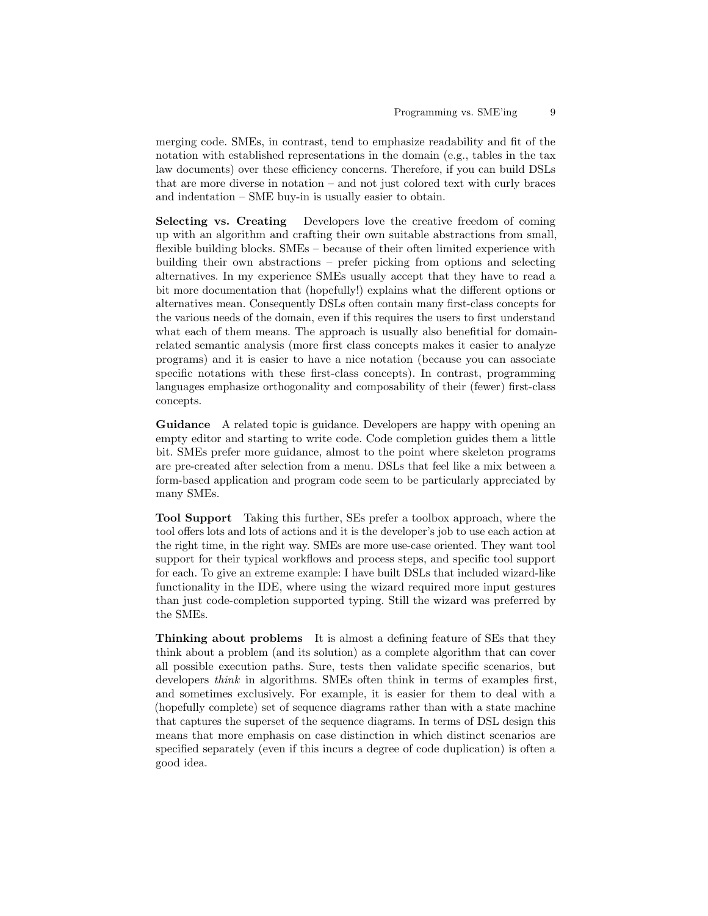merging code. SMEs, in contrast, tend to emphasize readability and fit of the notation with established representations in the domain (e.g., tables in the tax law documents) over these efficiency concerns. Therefore, if you can build DSLs that are more diverse in notation – and not just colored text with curly braces and indentation – SME buy-in is usually easier to obtain.

Selecting vs. Creating Developers love the creative freedom of coming up with an algorithm and crafting their own suitable abstractions from small, flexible building blocks. SMEs – because of their often limited experience with building their own abstractions – prefer picking from options and selecting alternatives. In my experience SMEs usually accept that they have to read a bit more documentation that (hopefully!) explains what the different options or alternatives mean. Consequently DSLs often contain many first-class concepts for the various needs of the domain, even if this requires the users to first understand what each of them means. The approach is usually also benefitial for domainrelated semantic analysis (more first class concepts makes it easier to analyze programs) and it is easier to have a nice notation (because you can associate specific notations with these first-class concepts). In contrast, programming languages emphasize orthogonality and composability of their (fewer) first-class concepts.

Guidance A related topic is guidance. Developers are happy with opening an empty editor and starting to write code. Code completion guides them a little bit. SMEs prefer more guidance, almost to the point where skeleton programs are pre-created after selection from a menu. DSLs that feel like a mix between a form-based application and program code seem to be particularly appreciated by many SMEs.

Tool Support Taking this further, SEs prefer a toolbox approach, where the tool offers lots and lots of actions and it is the developer's job to use each action at the right time, in the right way. SMEs are more use-case oriented. They want tool support for their typical workflows and process steps, and specific tool support for each. To give an extreme example: I have built DSLs that included wizard-like functionality in the IDE, where using the wizard required more input gestures than just code-completion supported typing. Still the wizard was preferred by the SMEs.

Thinking about problems It is almost a defining feature of SEs that they think about a problem (and its solution) as a complete algorithm that can cover all possible execution paths. Sure, tests then validate specific scenarios, but developers *think* in algorithms. SMEs often think in terms of examples first, and sometimes exclusively. For example, it is easier for them to deal with a (hopefully complete) set of sequence diagrams rather than with a state machine that captures the superset of the sequence diagrams. In terms of DSL design this means that more emphasis on case distinction in which distinct scenarios are specified separately (even if this incurs a degree of code duplication) is often a good idea.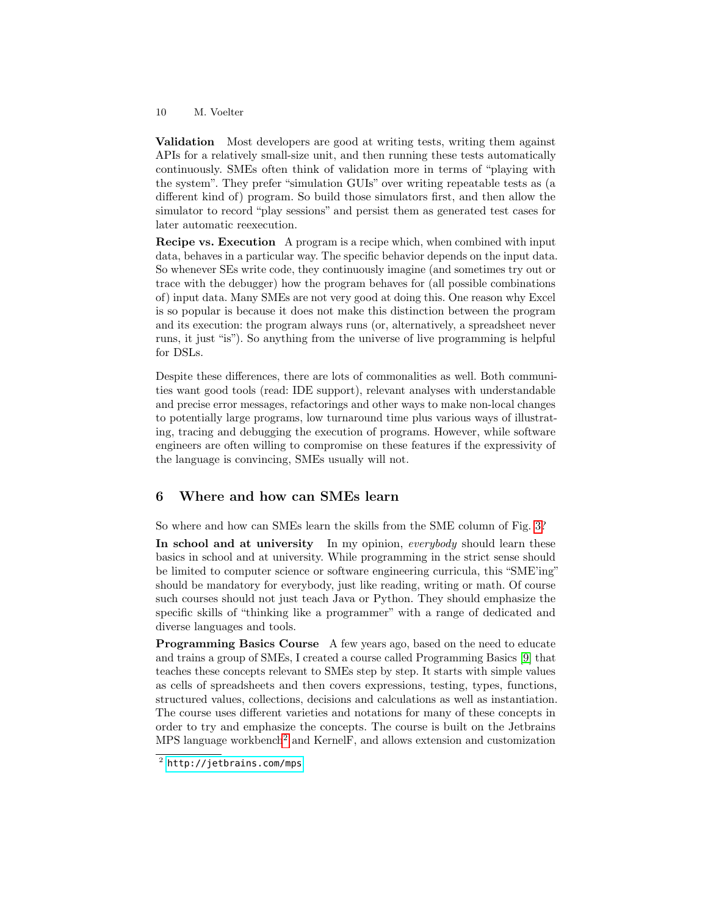Validation Most developers are good at writing tests, writing them against APIs for a relatively small-size unit, and then running these tests automatically continuously. SMEs often think of validation more in terms of "playing with the system". They prefer "simulation GUIs" over writing repeatable tests as (a different kind of) program. So build those simulators first, and then allow the simulator to record "play sessions" and persist them as generated test cases for later automatic reexecution.

Recipe vs. Execution A program is a recipe which, when combined with input data, behaves in a particular way. The specific behavior depends on the input data. So whenever SEs write code, they continuously imagine (and sometimes try out or trace with the debugger) how the program behaves for (all possible combinations of) input data. Many SMEs are not very good at doing this. One reason why Excel is so popular is because it does not make this distinction between the program and its execution: the program always runs (or, alternatively, a spreadsheet never runs, it just "is"). So anything from the universe of live programming is helpful for DSLs.

Despite these differences, there are lots of commonalities as well. Both communities want good tools (read: IDE support), relevant analyses with understandable and precise error messages, refactorings and other ways to make non-local changes to potentially large programs, low turnaround time plus various ways of illustrating, tracing and debugging the execution of programs. However, while software engineers are often willing to compromise on these features if the expressivity of the language is convincing, SMEs usually will not.

# 6 Where and how can SMEs learn

So where and how can SMEs learn the skills from the SME column of Fig. [3?](#page-4-0)

In school and at university In my opinion, everybody should learn these basics in school and at university. While programming in the strict sense should be limited to computer science or software engineering curricula, this "SME'ing" should be mandatory for everybody, just like reading, writing or math. Of course such courses should not just teach Java or Python. They should emphasize the specific skills of "thinking like a programmer" with a range of dedicated and diverse languages and tools.

Programming Basics Course A few years ago, based on the need to educate and trains a group of SMEs, I created a course called Programming Basics [\[9\]](#page-11-10) that teaches these concepts relevant to SMEs step by step. It starts with simple values as cells of spreadsheets and then covers expressions, testing, types, functions, structured values, collections, decisions and calculations as well as instantiation. The course uses different varieties and notations for many of these concepts in order to try and emphasize the concepts. The course is built on the Jetbrains  $MPS$  language workbench<sup>[2](#page-0-0)</sup> and KernelF, and allows extension and customization

 $^2$  <http://jetbrains.com/mps>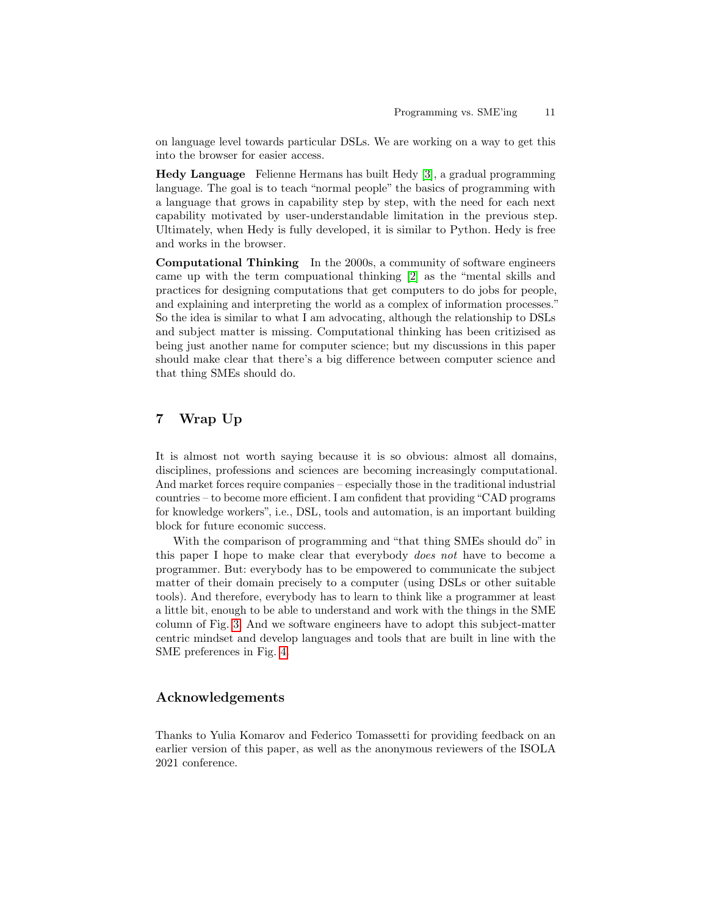on language level towards particular DSLs. We are working on a way to get this into the browser for easier access.

Hedy Language Felienne Hermans has built Hedy [\[3\]](#page-11-11), a gradual programming language. The goal is to teach "normal people" the basics of programming with a language that grows in capability step by step, with the need for each next capability motivated by user-understandable limitation in the previous step. Ultimately, when Hedy is fully developed, it is similar to Python. Hedy is free and works in the browser.

Computational Thinking In the 2000s, a community of software engineers came up with the term compuational thinking [\[2\]](#page-11-12) as the "mental skills and practices for designing computations that get computers to do jobs for people, and explaining and interpreting the world as a complex of information processes." So the idea is similar to what I am advocating, although the relationship to DSLs and subject matter is missing. Computational thinking has been critizised as being just another name for computer science; but my discussions in this paper should make clear that there's a big difference between computer science and that thing SMEs should do.

# <span id="page-10-0"></span>7 Wrap Up

It is almost not worth saying because it is so obvious: almost all domains, disciplines, professions and sciences are becoming increasingly computational. And market forces require companies – especially those in the traditional industrial countries – to become more efficient. I am confident that providing "CAD programs for knowledge workers", i.e., DSL, tools and automation, is an important building block for future economic success.

With the comparison of programming and "that thing SMEs should do" in this paper I hope to make clear that everybody does not have to become a programmer. But: everybody has to be empowered to communicate the subject matter of their domain precisely to a computer (using DSLs or other suitable tools). And therefore, everybody has to learn to think like a programmer at least a little bit, enough to be able to understand and work with the things in the SME column of Fig. [3.](#page-4-0) And we software engineers have to adopt this subject-matter centric mindset and develop languages and tools that are built in line with the SME preferences in Fig. [4.](#page-7-0)

# Acknowledgements

Thanks to Yulia Komarov and Federico Tomassetti for providing feedback on an earlier version of this paper, as well as the anonymous reviewers of the ISOLA 2021 conference.